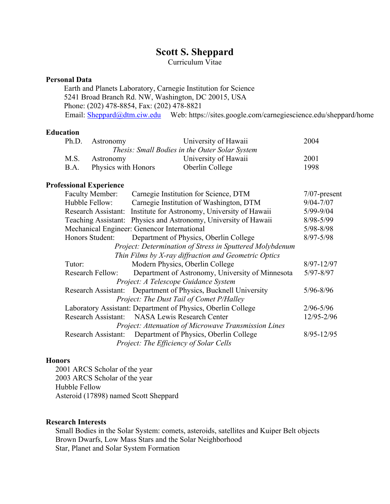# **Scott S. Sheppard**

Curriculum Vitae

#### **Personal Data**

 Earth and Planets Laboratory, Carnegie Institution for Science 5241 Broad Branch Rd. NW, Washington, DC 20015, USA Phone: (202) 478-8854, Fax: (202) 478-8821 Email: Sheppard@dtm.ciw.edu Web: https://sites.google.com/carnegiescience.edu/sheppard/home

#### **Education**

|                                                | Ph.D. Astronomy          | University of Hawaii | 2004 |  |  |
|------------------------------------------------|--------------------------|----------------------|------|--|--|
| Thesis: Small Bodies in the Outer Solar System |                          |                      |      |  |  |
| M.S.                                           | Astronomy                | University of Hawaii | 2001 |  |  |
|                                                | B.A. Physics with Honors | Oberlin College      | 1998 |  |  |

#### **Professional Experience**

| Faculty Member:         | Carnegie Institution for Science, DTM                           | $7/07$ -present |  |
|-------------------------|-----------------------------------------------------------------|-----------------|--|
| Hubble Fellow:          | Carnegie Institution of Washington, DTM                         | $9/04 - 7/07$   |  |
| Research Assistant:     | Institute for Astronomy, University of Hawaii                   | $5/99 - 9/04$   |  |
|                         | Teaching Assistant: Physics and Astronomy, University of Hawaii | 8/98-5/99       |  |
|                         | Mechanical Engineer: Genencor International                     |                 |  |
| Honors Student:         | Department of Physics, Oberlin College                          | $8/97 - 5/98$   |  |
|                         | Project: Determination of Stress in Sputtered Molybdenum        |                 |  |
|                         | Thin Films by X-ray diffraction and Geometric Optics            |                 |  |
| Tutor:                  | Modern Physics, Oberlin College                                 | $8/97 - 12/97$  |  |
| <b>Research Fellow:</b> | Department of Astronomy, University of Minnesota                | $5/97 - 8/97$   |  |
|                         | Project: A Telescope Guidance System                            |                 |  |
|                         | Research Assistant: Department of Physics, Bucknell University  | $5/96 - 8/96$   |  |
|                         | Project: The Dust Tail of Comet P/Halley                        |                 |  |
|                         | Laboratory Assistant: Department of Physics, Oberlin College    |                 |  |
|                         | Research Assistant: NASA Lewis Research Center                  | 12/95-2/96      |  |
|                         | Project: Attenuation of Microwave Transmission Lines            |                 |  |
|                         | Research Assistant: Department of Physics, Oberlin College      | $8/95 - 12/95$  |  |
|                         | Project: The Efficiency of Solar Cells                          |                 |  |

### **Honors**

 2001 ARCS Scholar of the year 2003 ARCS Scholar of the year Hubble Fellow Asteroid (17898) named Scott Sheppard

#### **Research Interests**

 Small Bodies in the Solar System: comets, asteroids, satellites and Kuiper Belt objects Brown Dwarfs, Low Mass Stars and the Solar Neighborhood Star, Planet and Solar System Formation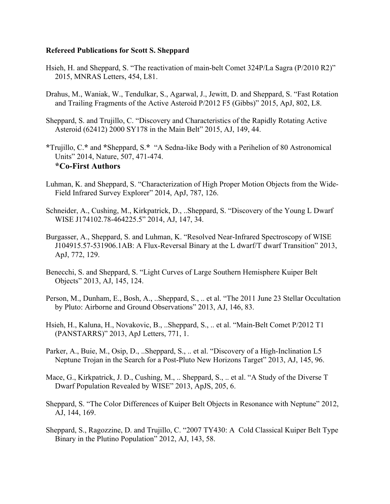#### **Refereed Publications for Scott S. Sheppard**

- Hsieh, H. and Sheppard, S. "The reactivation of main-belt Comet 324P/La Sagra (P/2010 R2)" 2015, MNRAS Letters, 454, L81.
- Drahus, M., Waniak, W., Tendulkar, S., Agarwal, J., Jewitt, D. and Sheppard, S. "Fast Rotation and Trailing Fragments of the Active Asteroid P/2012 F5 (Gibbs)" 2015, ApJ, 802, L8.
- Sheppard, S. and Trujillo, C. "Discovery and Characteristics of the Rapidly Rotating Active Asteroid (62412) 2000 SY178 in the Main Belt" 2015, AJ, 149, 44.
- **\***Trujillo, C.**\*** and **\***Sheppard, S.**\*** "A Sedna-like Body with a Perihelion of 80 Astronomical Units" 2014, Nature, 507, 471-474. **\*Co-First Authors**
- Luhman, K. and Sheppard, S. "Characterization of High Proper Motion Objects from the Wide-Field Infrared Survey Explorer" 2014, ApJ, 787, 126.
- Schneider, A., Cushing, M., Kirkpatrick, D., ..Sheppard, S. "Discovery of the Young L Dwarf WISE J174102.78-464225.5" 2014, AJ, 147, 34.
- Burgasser, A., Sheppard, S. and Luhman, K. "Resolved Near-Infrared Spectroscopy of WISE J104915.57-531906.1AB: A Flux-Reversal Binary at the L dwarf/T dwarf Transition" 2013, ApJ, 772, 129.
- Benecchi, S. and Sheppard, S. "Light Curves of Large Southern Hemisphere Kuiper Belt Objects" 2013, AJ, 145, 124.
- Person, M., Dunham, E., Bosh, A., ..Sheppard, S., .. et al. "The 2011 June 23 Stellar Occultation by Pluto: Airborne and Ground Observations" 2013, AJ, 146, 83.
- Hsieh, H., Kaluna, H., Novakovic, B., ..Sheppard, S., .. et al. "Main-Belt Comet P/2012 T1 (PANSTARRS)" 2013, ApJ Letters, 771, 1.
- Parker, A., Buie, M., Osip, D., ..Sheppard, S., .. et al. "Discovery of a High-Inclination L5 Neptune Trojan in the Search for a Post-Pluto New Horizons Target" 2013, AJ, 145, 96.
- Mace, G., Kirkpatrick, J. D., Cushing, M., .. Sheppard, S., .. et al. "A Study of the Diverse T Dwarf Population Revealed by WISE" 2013, ApJS, 205, 6.
- Sheppard, S. "The Color Differences of Kuiper Belt Objects in Resonance with Neptune" 2012, AJ, 144, 169.
- Sheppard, S., Ragozzine, D. and Trujillo, C. "2007 TY430: A Cold Classical Kuiper Belt Type Binary in the Plutino Population" 2012, AJ, 143, 58.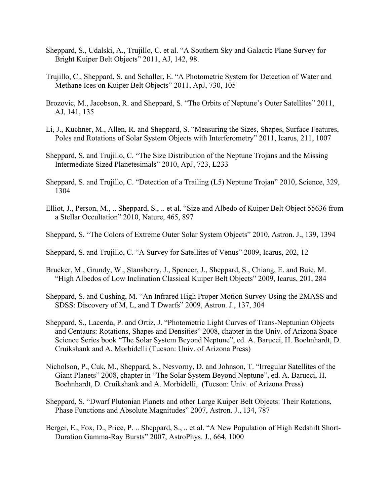- Sheppard, S., Udalski, A., Trujillo, C. et al. "A Southern Sky and Galactic Plane Survey for Bright Kuiper Belt Objects" 2011, AJ, 142, 98.
- Trujillo, C., Sheppard, S. and Schaller, E. "A Photometric System for Detection of Water and Methane Ices on Kuiper Belt Objects" 2011, ApJ, 730, 105
- Brozovic, M., Jacobson, R. and Sheppard, S. "The Orbits of Neptune's Outer Satellites" 2011, AJ, 141, 135
- Li, J., Kuchner, M., Allen, R. and Sheppard, S. "Measuring the Sizes, Shapes, Surface Features, Poles and Rotations of Solar System Objects with Interferometry" 2011, Icarus, 211, 1007
- Sheppard, S. and Trujillo, C. "The Size Distribution of the Neptune Trojans and the Missing Intermediate Sized Planetesimals" 2010, ApJ, 723, L233
- Sheppard, S. and Trujillo, C. "Detection of a Trailing (L5) Neptune Trojan" 2010, Science, 329, 1304
- Elliot, J., Person, M., .. Sheppard, S., .. et al. "Size and Albedo of Kuiper Belt Object 55636 from a Stellar Occultation" 2010, Nature, 465, 897
- Sheppard, S. "The Colors of Extreme Outer Solar System Objects" 2010, Astron. J., 139, 1394

Sheppard, S. and Trujillo, C. "A Survey for Satellites of Venus" 2009, Icarus, 202, 12

- Brucker, M., Grundy, W., Stansberry, J., Spencer, J., Sheppard, S., Chiang, E. and Buie, M. "High Albedos of Low Inclination Classical Kuiper Belt Objects" 2009, Icarus, 201, 284
- Sheppard, S. and Cushing, M. "An Infrared High Proper Motion Survey Using the 2MASS and SDSS: Discovery of M, L, and T Dwarfs" 2009, Astron. J., 137, 304
- Sheppard, S., Lacerda, P. and Ortiz, J. "Photometric Light Curves of Trans-Neptunian Objects and Centaurs: Rotations, Shapes and Densities" 2008, chapter in the Univ. of Arizona Space Science Series book "The Solar System Beyond Neptune", ed. A. Barucci, H. Boehnhardt, D. Cruikshank and A. Morbidelli (Tucson: Univ. of Arizona Press)
- Nicholson, P., Cuk, M., Sheppard, S., Nesvorny, D. and Johnson, T. "Irregular Satellites of the Giant Planets" 2008, chapter in "The Solar System Beyond Neptune", ed. A. Barucci, H. Boehnhardt, D. Cruikshank and A. Morbidelli, (Tucson: Univ. of Arizona Press)
- Sheppard, S. "Dwarf Plutonian Planets and other Large Kuiper Belt Objects: Their Rotations, Phase Functions and Absolute Magnitudes" 2007, Astron. J., 134, 787
- Berger, E., Fox, D., Price, P. .. Sheppard, S., .. et al. "A New Population of High Redshift Short-Duration Gamma-Ray Bursts" 2007, AstroPhys. J., 664, 1000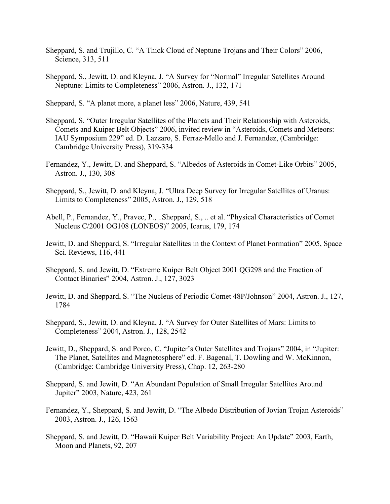- Sheppard, S. and Trujillo, C. "A Thick Cloud of Neptune Trojans and Their Colors" 2006, Science, 313, 511
- Sheppard, S., Jewitt, D. and Kleyna, J. "A Survey for "Normal" Irregular Satellites Around Neptune: Limits to Completeness" 2006, Astron. J., 132, 171

Sheppard, S. "A planet more, a planet less" 2006, Nature, 439, 541

- Sheppard, S. "Outer Irregular Satellites of the Planets and Their Relationship with Asteroids, Comets and Kuiper Belt Objects" 2006, invited review in "Asteroids, Comets and Meteors: IAU Symposium 229" ed. D. Lazzaro, S. Ferraz-Mello and J. Fernandez, (Cambridge: Cambridge University Press), 319-334
- Fernandez, Y., Jewitt, D. and Sheppard, S. "Albedos of Asteroids in Comet-Like Orbits" 2005, Astron. J., 130, 308
- Sheppard, S., Jewitt, D. and Kleyna, J. "Ultra Deep Survey for Irregular Satellites of Uranus: Limits to Completeness" 2005, Astron. J., 129, 518
- Abell, P., Fernandez, Y., Pravec, P., ..Sheppard, S., .. et al. "Physical Characteristics of Comet Nucleus C/2001 OG108 (LONEOS)" 2005, Icarus, 179, 174
- Jewitt, D. and Sheppard, S. "Irregular Satellites in the Context of Planet Formation" 2005, Space Sci. Reviews, 116, 441
- Sheppard, S. and Jewitt, D. "Extreme Kuiper Belt Object 2001 QG298 and the Fraction of Contact Binaries" 2004, Astron. J., 127, 3023
- Jewitt, D. and Sheppard, S. "The Nucleus of Periodic Comet 48P/Johnson" 2004, Astron. J., 127, 1784
- Sheppard, S., Jewitt, D. and Kleyna, J. "A Survey for Outer Satellites of Mars: Limits to Completeness" 2004, Astron. J., 128, 2542
- Jewitt, D., Sheppard, S. and Porco, C. "Jupiter's Outer Satellites and Trojans" 2004, in "Jupiter: The Planet, Satellites and Magnetosphere" ed. F. Bagenal, T. Dowling and W. McKinnon, (Cambridge: Cambridge University Press), Chap. 12, 263-280
- Sheppard, S. and Jewitt, D. "An Abundant Population of Small Irregular Satellites Around Jupiter" 2003, Nature, 423, 261
- Fernandez, Y., Sheppard, S. and Jewitt, D. "The Albedo Distribution of Jovian Trojan Asteroids" 2003, Astron. J., 126, 1563
- Sheppard, S. and Jewitt, D. "Hawaii Kuiper Belt Variability Project: An Update" 2003, Earth, Moon and Planets, 92, 207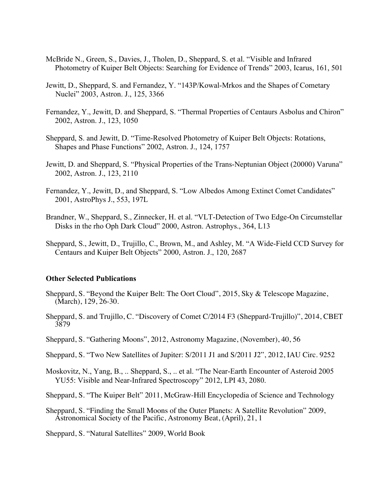- McBride N., Green, S., Davies, J., Tholen, D., Sheppard, S. et al. "Visible and Infrared Photometry of Kuiper Belt Objects: Searching for Evidence of Trends" 2003, Icarus, 161, 501
- Jewitt, D., Sheppard, S. and Fernandez, Y. "143P/Kowal-Mrkos and the Shapes of Cometary Nuclei" 2003, Astron. J., 125, 3366
- Fernandez, Y., Jewitt, D. and Sheppard, S. "Thermal Properties of Centaurs Asbolus and Chiron" 2002, Astron. J., 123, 1050
- Sheppard, S. and Jewitt, D. "Time-Resolved Photometry of Kuiper Belt Objects: Rotations, Shapes and Phase Functions" 2002, Astron. J., 124, 1757
- Jewitt, D. and Sheppard, S. "Physical Properties of the Trans-Neptunian Object (20000) Varuna" 2002, Astron. J., 123, 2110
- Fernandez, Y., Jewitt, D., and Sheppard, S. "Low Albedos Among Extinct Comet Candidates" 2001, AstroPhys J., 553, 197L
- Brandner, W., Sheppard, S., Zinnecker, H. et al. "VLT-Detection of Two Edge-On Circumstellar Disks in the rho Oph Dark Cloud" 2000, Astron. Astrophys., 364, L13
- Sheppard, S., Jewitt, D., Trujillo, C., Brown, M., and Ashley, M. "A Wide-Field CCD Survey for Centaurs and Kuiper Belt Objects" 2000, Astron. J., 120, 2687

#### **Other Selected Publications**

- Sheppard, S. "Beyond the Kuiper Belt: The Oort Cloud", 2015, Sky & Telescope Magazine, (March), 129, 26-30.
- Sheppard, S. and Trujillo, C. "Discovery of Comet C/2014 F3 (Sheppard-Trujillo)", 2014, CBET 3879
- Sheppard, S. "Gathering Moons", 2012, Astronomy Magazine, (November), 40, 56
- Sheppard, S. "Two New Satellites of Jupiter: S/2011 J1 and S/2011 J2", 2012, IAU Circ. 9252
- Moskovitz, N., Yang, B., .. Sheppard, S., .. et al. "The Near-Earth Encounter of Asteroid 2005 YU55: Visible and Near-Infrared Spectroscopy" 2012, LPI 43, 2080.

Sheppard, S. "The Kuiper Belt" 2011, McGraw-Hill Encyclopedia of Science and Technology

Sheppard, S. "Finding the Small Moons of the Outer Planets: A Satellite Revolution" 2009, Astronomical Society of the Pacific, Astronomy Beat, (April), 21, 1

Sheppard, S. "Natural Satellites" 2009, World Book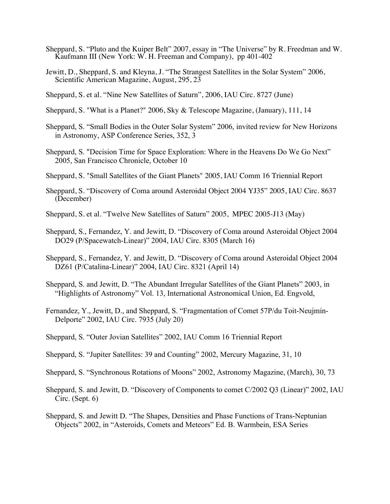- Sheppard, S. "Pluto and the Kuiper Belt" 2007, essay in "The Universe" by R. Freedman and W. Kaufmann III (New York: W. H. Freeman and Company), pp 401-402
- Jewitt, D., Sheppard, S. and Kleyna, J. "The Strangest Satellites in the Solar System" 2006, Scientific American Magazine, August, 295, 23
- Sheppard, S. et al. "Nine New Satellites of Saturn", 2006, IAU Circ. 8727 (June)
- Sheppard, S. "What is a Planet?" 2006, Sky & Telescope Magazine, (January), 111, 14
- Sheppard, S. "Small Bodies in the Outer Solar System" 2006, invited review for New Horizons in Astronomy, ASP Conference Series, 352, 3
- Sheppard, S. "Decision Time for Space Exploration: Where in the Heavens Do We Go Next" 2005, San Francisco Chronicle, October 10
- Sheppard, S. "Small Satellites of the Giant Planets" 2005, IAU Comm 16 Triennial Report
- Sheppard, S. "Discovery of Coma around Asteroidal Object 2004 YJ35" 2005, IAU Circ. 8637 (December)
- Sheppard, S. et al. "Twelve New Satellites of Saturn" 2005, MPEC 2005-J13 (May)
- Sheppard, S., Fernandez, Y. and Jewitt, D. "Discovery of Coma around Asteroidal Object 2004 DO29 (P/Spacewatch-Linear)" 2004, IAU Circ. 8305 (March 16)
- Sheppard, S., Fernandez, Y. and Jewitt, D. "Discovery of Coma around Asteroidal Object 2004 DZ61 (P/Catalina-Linear)" 2004, IAU Circ. 8321 (April 14)
- Sheppard, S. and Jewitt, D. "The Abundant Irregular Satellites of the Giant Planets" 2003, in "Highlights of Astronomy" Vol. 13, International Astronomical Union, Ed. Engvold,
- Fernandez, Y., Jewitt, D., and Sheppard, S. "Fragmentation of Comet 57P/du Toit-Neujmin-Delporte" 2002, IAU Circ. 7935 (July 20)
- Sheppard, S. "Outer Jovian Satellites" 2002, IAU Comm 16 Triennial Report
- Sheppard, S. "Jupiter Satellites: 39 and Counting" 2002, Mercury Magazine, 31, 10
- Sheppard, S. "Synchronous Rotations of Moons" 2002, Astronomy Magazine, (March), 30, 73
- Sheppard, S. and Jewitt, D. "Discovery of Components to comet C/2002 Q3 (Linear)" 2002, IAU Circ. (Sept. 6)
- Sheppard, S. and Jewitt D. "The Shapes, Densities and Phase Functions of Trans-Neptunian Objects" 2002, in "Asteroids, Comets and Meteors" Ed. B. Warmbein, ESA Series